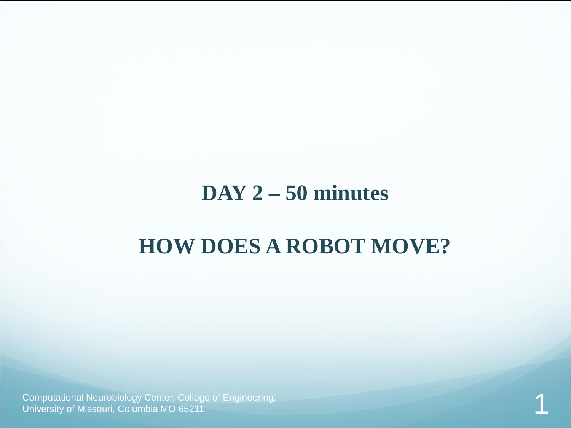#### **DAY 2 – 50 minutes**

### **HOW DOES A ROBOT MOVE?**

Computational Neurobiology Center, College of Engineering, University of Missouri, Columbia MO 65211 1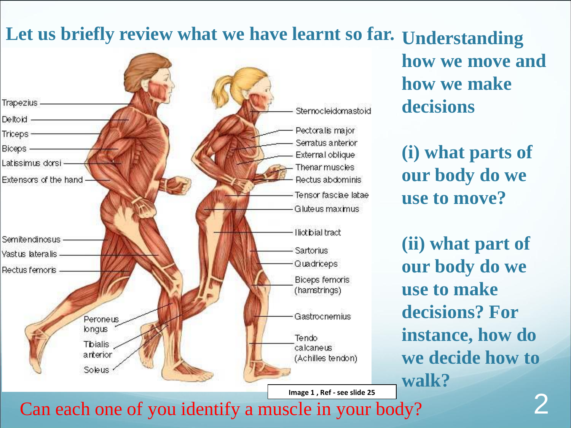### Let us briefly review what we have learnt so far. Understanding



**how we move and how we make decisions**

**(i) what parts of our body do we use to move?**

**(ii) what part of our body do we use to make decisions? For instance, how do we decide how to walk?**

Can each one of you identify a muscle in your body?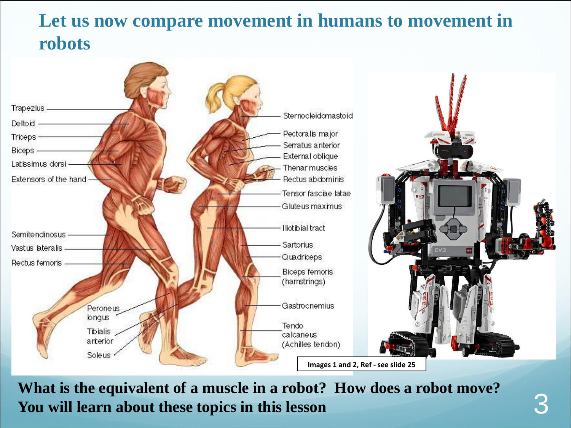#### **Let us now compare movement in humans to movement in robots**



**What is the equivalent of a muscle in a robot? How does a robot move? You will learn about these topics in this lesson**

3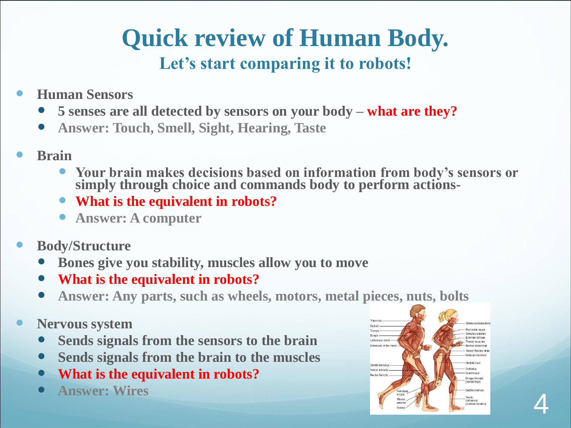### **Quick review of Human Body. Let's start comparing it to robots!**

- **Human Sensors**
	- **5 senses are all detected by sensors on your body – what are they?**
	- **Answer: Touch, Smell, Sight, Hearing, Taste**
- **Brain**
	- **Your brain makes decisions based on information from body's sensors or simply through choice and commands body to perform actions-**
	- **What is the equivalent in robots?**
	- **Answer: A computer**
- **Body/Structure** 
	- **Bones give you stability, muscles allow you to move**
	- **What is the equivalent in robots?**
	- **Answer: Any parts, such as wheels, motors, metal pieces, nuts, bolts**
- **Nervous system**
	- **Sends signals from the sensors to the brain**
	- **Sends signals from the brain to the muscles**
	- **What is the equivalent in robots?**
	-

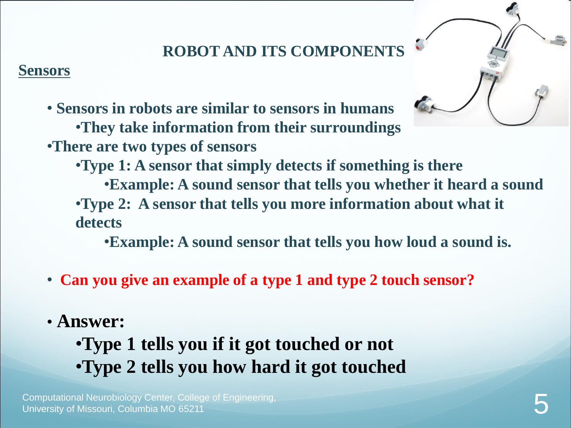### **ROBOT AND ITS COMPONENTS**

#### **Sensors**

- 
- **Sensors in robots are similar to sensors in humans** •**They take information from their surroundings**  •**There are two types of sensors**

•**Type 1: A sensor that simply detects if something is there** •**Example: A sound sensor that tells you whether it heard a sound** •**Type 2: A sensor that tells you more information about what it detects**

•**Example: A sound sensor that tells you how loud a sound is.** 

- **Can you give an example of a type 1 and type 2 touch sensor?**
- **Answer:**
	- •**Type 1 tells you if it got touched or not** •**Type 2 tells you how hard it got touched**

Computational Neurobiology Center, College of Engineering, University of Missouri, Columbia MO 65211 5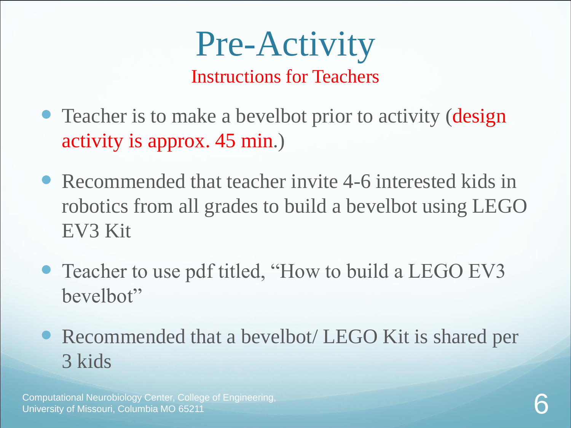# Pre-Activity

Instructions for Teachers

- Teacher is to make a bevelbot prior to activity (design activity is approx. 45 min.)
- Recommended that teacher invite 4-6 interested kids in robotics from all grades to build a bevelbot using LEGO EV3 Kit
- Teacher to use pdf titled, "How to build a LEGO EV3 bevelbot"
- Recommended that a bevelbot/ LEGO Kit is shared per 3 kids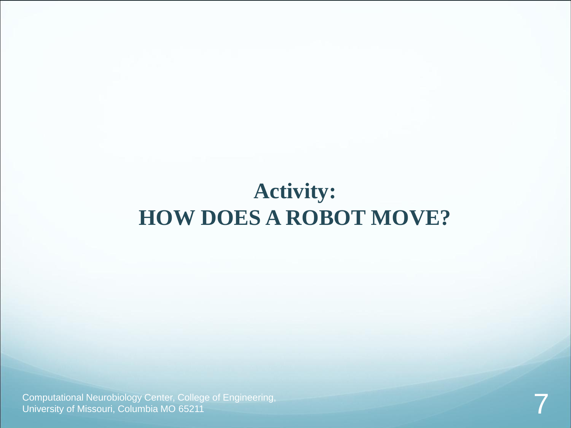### **Activity: HOW DOES A ROBOT MOVE?**

Computational Neurobiology Center, College of Engineering, **Product and Constanting Computational Neurobiology Center, College of Engineering, Product 2001, 2001, 2001, 2001, 2001, 2001, 2001, 2001, 2001, 2001, 2001, 2001,**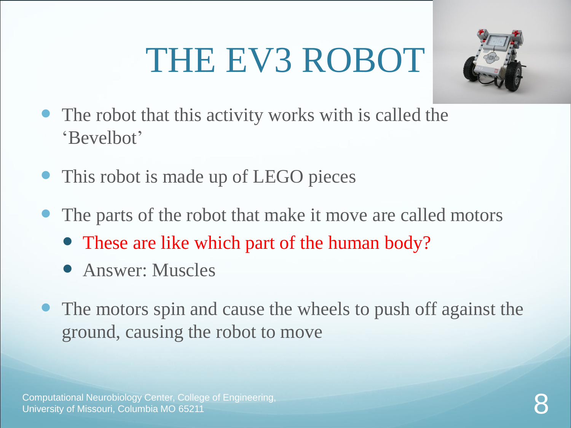# THE EV3 ROBOT



- The robot that this activity works with is called the 'Bevelbot'
- This robot is made up of LEGO pieces
- The parts of the robot that make it move are called motors
	- These are like which part of the human body?
	- Answer: Muscles
- The motors spin and cause the wheels to push off against the ground, causing the robot to move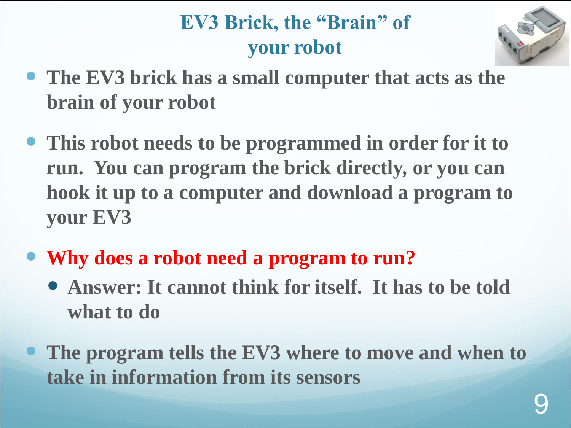### **EV3 Brick, the "Brain" of your robot**



- **The EV3 brick has a small computer that acts as the brain of your robot**
- **This robot needs to be programmed in order for it to run. You can program the brick directly, or you can hook it up to a computer and download a program to your EV3**
- **Why does a robot need a program to run?**
	- **Answer: It cannot think for itself. It has to be told what to do**
	- **The program tells the EV3 where to move and when to take in information from its sensors**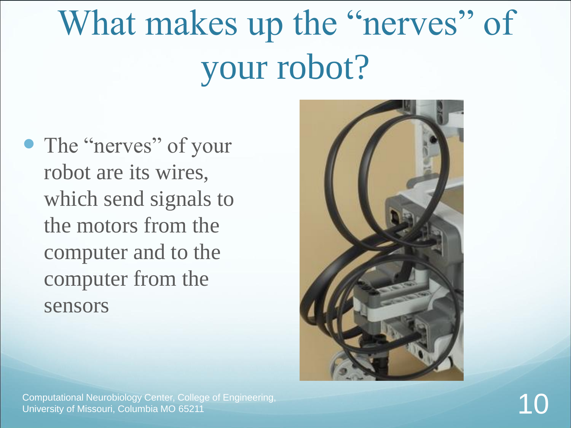# What makes up the "nerves" of your robot?

• The "nerves" of your robot are its wires, which send signals to the motors from the computer and to the computer from the sensors



Computational Neurobiology Center, College of Engineering, University of Missouri, Columbia MO 65211 10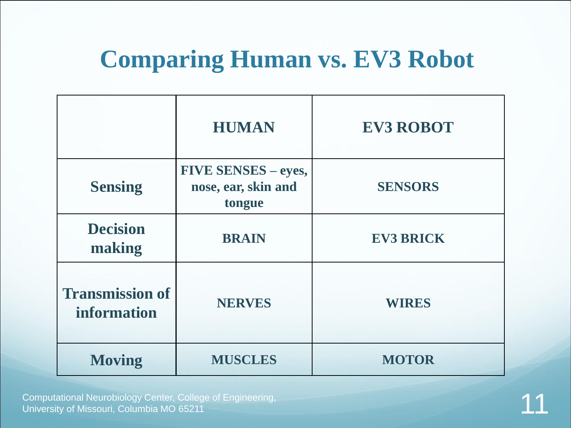## **Comparing Human vs. EV3 Robot**

|                                       | <b>HUMAN</b>                                                | <b>EV3 ROBOT</b> |
|---------------------------------------|-------------------------------------------------------------|------------------|
| <b>Sensing</b>                        | <b>FIVE SENSES – eyes,</b><br>nose, ear, skin and<br>tongue | <b>SENSORS</b>   |
| <b>Decision</b><br>making             | <b>BRAIN</b>                                                | <b>EV3 BRICK</b> |
| <b>Transmission of</b><br>information | <b>NERVES</b>                                               | <b>WIRES</b>     |
| <b>Moving</b>                         | <b>MUSCLES</b>                                              | <b>MOTOR</b>     |

Computational Neurobiology Center, College of Engineering, **1998, 1999, 1999, 1999, 1999, 1999, 1999, 1999, 199**<br>University of Missouri, Columbia MO 65211 111, 1999, 1999, 1999, 1999, 1999, 1999, 1999, 1999, 1999, 1999, 19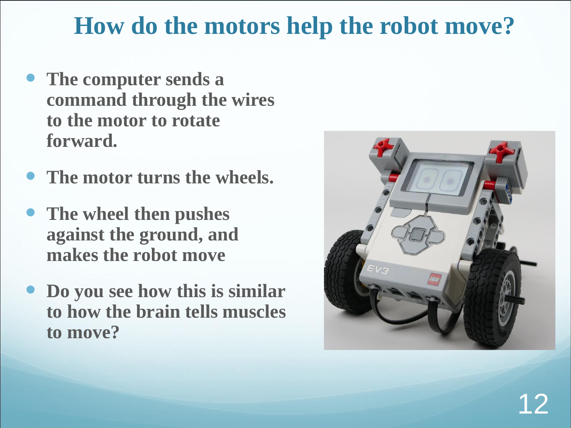### **How do the motors help the robot move?**

- **The computer sends a command through the wires to the motor to rotate forward.**
- **The motor turns the wheels.**
- **The wheel then pushes against the ground, and makes the robot move**
- **Do you see how this is similar to how the brain tells muscles to move?**

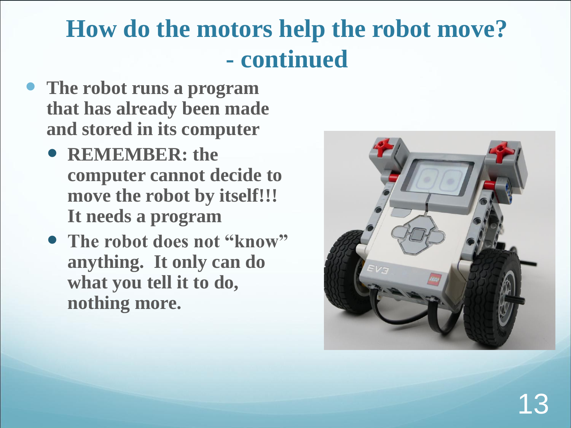# **How do the motors help the robot move? - continued**

- **The robot runs a program that has already been made and stored in its computer**
	- **REMEMBER: the computer cannot decide to move the robot by itself!!! It needs a program**
	- **The robot does not "know" anything. It only can do what you tell it to do, nothing more.**

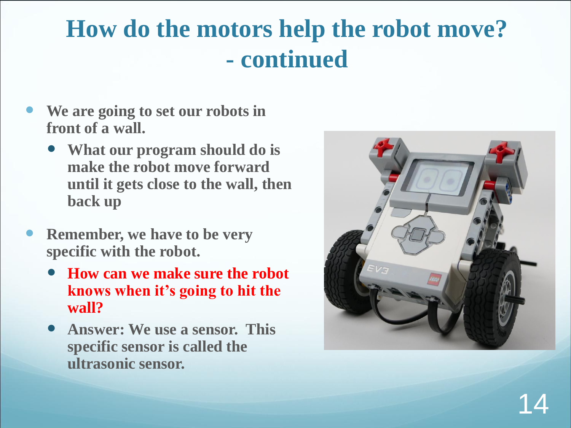# **How do the motors help the robot move? - continued**

- **We are going to set our robots in front of a wall.** 
	- **What our program should do is make the robot move forward until it gets close to the wall, then back up**
- **Remember, we have to be very specific with the robot.** 
	- **How can we make sure the robot knows when it's going to hit the wall?**
	- **Answer: We use a sensor. This specific sensor is called the ultrasonic sensor.**

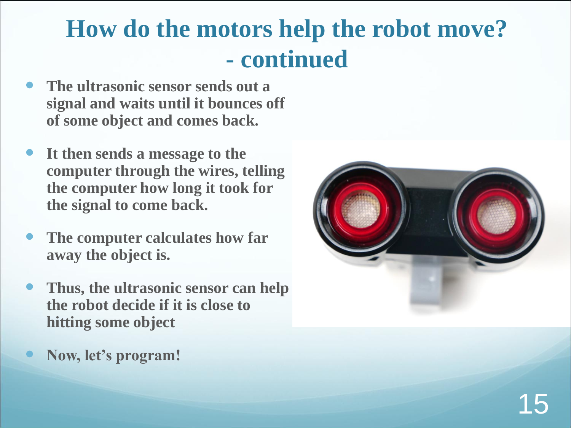## **How do the motors help the robot move? - continued**

- **The ultrasonic sensor sends out a signal and waits until it bounces off of some object and comes back.**
- **It then sends a message to the computer through the wires, telling the computer how long it took for the signal to come back.**
- **The computer calculates how far away the object is.**
- **Thus, the ultrasonic sensor can help the robot decide if it is close to hitting some object**
- **Now, let's program!**

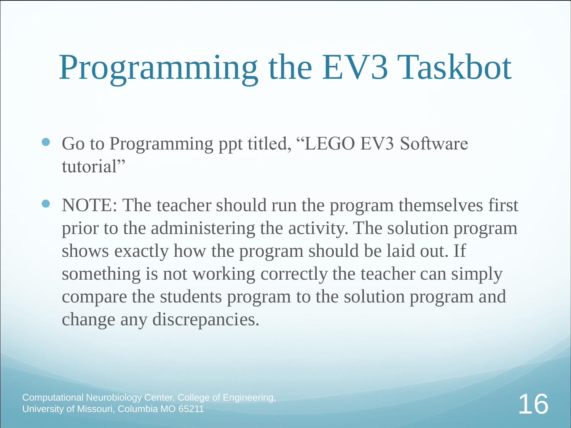# Programming the EV3 Taskbot

- Go to Programming ppt titled, "LEGO EV3 Software tutorial"
- NOTE: The teacher should run the program themselves first prior to the administering the activity. The solution program shows exactly how the program should be laid out. If something is not working correctly the teacher can simply compare the students program to the solution program and change any discrepancies.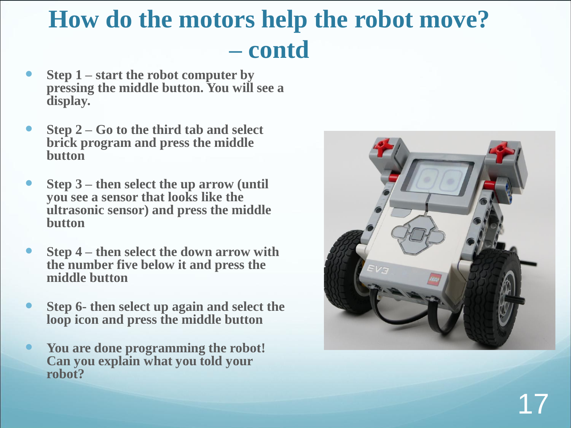# **How do the motors help the robot move? – contd**

- **Step 1 – start the robot computer by pressing the middle button. You will see a display.**
- **Step 2 – Go to the third tab and select brick program and press the middle button**
- **Step 3 – then select the up arrow (until you see a sensor that looks like the ultrasonic sensor) and press the middle button**
- **Step 4 – then select the down arrow with the number five below it and press the middle button**
- **Step 6- then select up again and select the loop icon and press the middle button**
- **You are done programming the robot! Can you explain what you told your robot?**

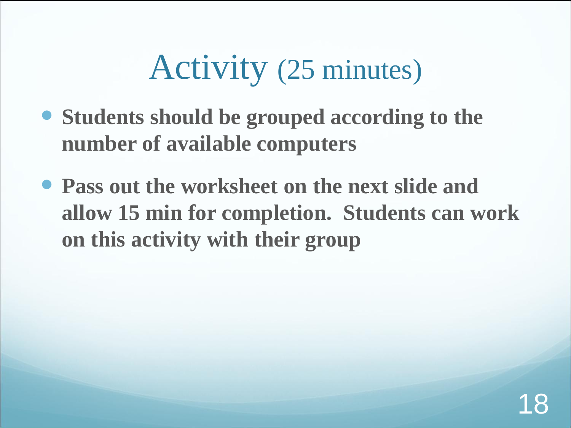# Activity (25 minutes)

- **Students should be grouped according to the number of available computers**
- **Pass out the worksheet on the next slide and allow 15 min for completion. Students can work on this activity with their group**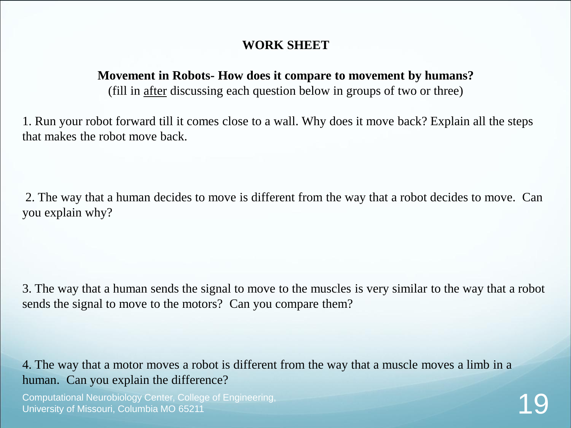#### **WORK SHEET**

#### **Movement in Robots- How does it compare to movement by humans?**

(fill in after discussing each question below in groups of two or three)

1. Run your robot forward till it comes close to a wall. Why does it move back? Explain all the steps that makes the robot move back.

2. The way that a human decides to move is different from the way that a robot decides to move. Can you explain why?

3. The way that a human sends the signal to move to the muscles is very similar to the way that a robot sends the signal to move to the motors? Can you compare them?

4. The way that a motor moves a robot is different from the way that a muscle moves a limb in a human. Can you explain the difference?

Computational Neurobiology Center, College of Engineering, **1988, 1999, 1999, 1999, 1999, 1999, 1999, 1999, 199**<br>University of Missouri, Columbia MO 65211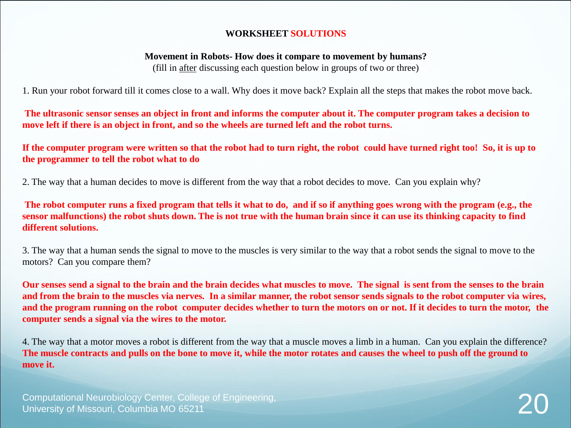#### **WORKSHEET SOLUTIONS**

#### **Movement in Robots- How does it compare to movement by humans?**

(fill in after discussing each question below in groups of two or three)

1. Run your robot forward till it comes close to a wall. Why does it move back? Explain all the steps that makes the robot move back.

**The ultrasonic sensor senses an object in front and informs the computer about it. The computer program takes a decision to move left if there is an object in front, and so the wheels are turned left and the robot turns.** 

**If the computer program were written so that the robot had to turn right, the robot could have turned right too! So, it is up to the programmer to tell the robot what to do**

2. The way that a human decides to move is different from the way that a robot decides to move. Can you explain why?

**The robot computer runs a fixed program that tells it what to do, and if so if anything goes wrong with the program (e.g., the sensor malfunctions) the robot shuts down. The is not true with the human brain since it can use its thinking capacity to find different solutions.**

3. The way that a human sends the signal to move to the muscles is very similar to the way that a robot sends the signal to move to the motors? Can you compare them?

**Our senses send a signal to the brain and the brain decides what muscles to move. The signal is sent from the senses to the brain and from the brain to the muscles via nerves. In a similar manner, the robot sensor sends signals to the robot computer via wires, and the program running on the robot computer decides whether to turn the motors on or not. If it decides to turn the motor, the computer sends a signal via the wires to the motor.** 

4. The way that a motor moves a robot is different from the way that a muscle moves a limb in a human. Can you explain the difference? **The muscle contracts and pulls on the bone to move it, while the motor rotates and causes the wheel to push off the ground to move it.**

Computational Neurobiology Center, College of Engineering, **2008.**<br>University of Missouri, Columbia MO 65211 2009.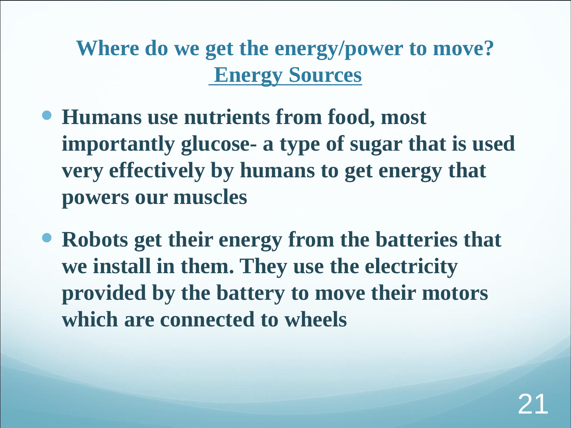**Where do we get the energy/power to move? Energy Sources**

- **Humans use nutrients from food, most importantly glucose- a type of sugar that is used very effectively by humans to get energy that powers our muscles**
- **Robots get their energy from the batteries that we install in them. They use the electricity provided by the battery to move their motors which are connected to wheels**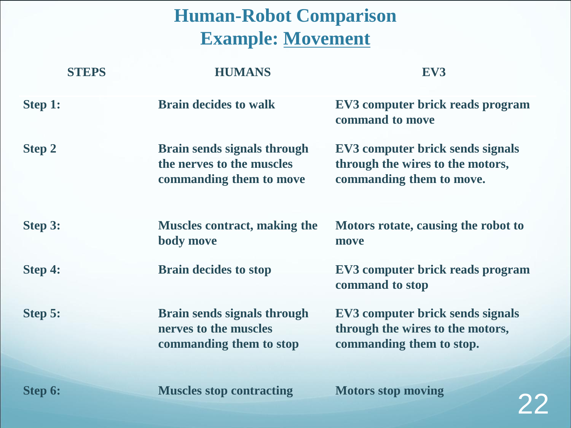#### **Human-Robot Comparison Example: Movement**

|               | <b>STEPS</b> | <b>HUMANS</b>                                                                              | EV3                                                                                              |
|---------------|--------------|--------------------------------------------------------------------------------------------|--------------------------------------------------------------------------------------------------|
| Step 1:       |              | <b>Brain decides to walk</b>                                                               | EV3 computer brick reads program<br>command to move                                              |
| <b>Step 2</b> |              | <b>Brain sends signals through</b><br>the nerves to the muscles<br>commanding them to move | EV3 computer brick sends signals<br>through the wires to the motors,<br>commanding them to move. |
| Step 3:       |              | <b>Muscles contract, making the</b><br>body move                                           | Motors rotate, causing the robot to<br>move                                                      |
| Step 4:       |              | <b>Brain decides to stop</b>                                                               | EV3 computer brick reads program<br>command to stop                                              |
| Step 5:       |              | <b>Brain sends signals through</b><br>nerves to the muscles<br>commanding them to stop     | EV3 computer brick sends signals<br>through the wires to the motors,<br>commanding them to stop. |
| Step 6:       |              | <b>Muscles stop contracting</b>                                                            | <b>Motors stop moving</b>                                                                        |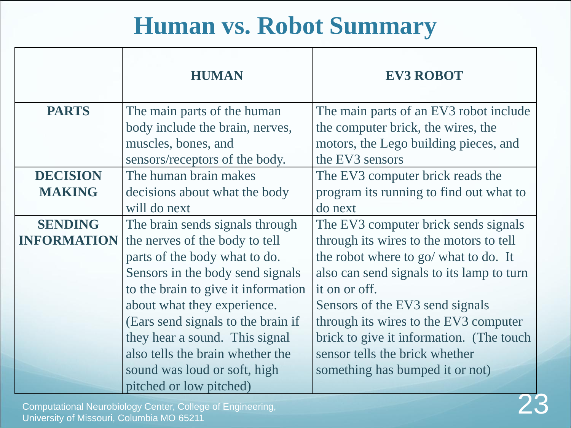# **Human vs. Robot Summary**

|                    | <b>HUMAN</b>                        | <b>EV3 ROBOT</b>                          |
|--------------------|-------------------------------------|-------------------------------------------|
| <b>PARTS</b>       | The main parts of the human         | The main parts of an EV3 robot include    |
|                    | body include the brain, nerves,     | the computer brick, the wires, the        |
|                    | muscles, bones, and                 | motors, the Lego building pieces, and     |
|                    | sensors/receptors of the body.      | the EV3 sensors                           |
| <b>DECISION</b>    | The human brain makes               | The EV3 computer brick reads the          |
| <b>MAKING</b>      | decisions about what the body       | program its running to find out what to   |
|                    | will do next                        | do next                                   |
| <b>SENDING</b>     | The brain sends signals through     | The EV3 computer brick sends signals      |
| <b>INFORMATION</b> | the nerves of the body to tell      | through its wires to the motors to tell   |
|                    | parts of the body what to do.       | the robot where to go/ what to do. It     |
|                    | Sensors in the body send signals    | also can send signals to its lamp to turn |
|                    | to the brain to give it information | it on or off.                             |
|                    | about what they experience.         | Sensors of the EV3 send signals           |
|                    | (Ears send signals to the brain if  | through its wires to the EV3 computer     |
|                    | they hear a sound. This signal      | brick to give it information. (The touch  |
|                    | also tells the brain whether the    | sensor tells the brick whether            |
|                    | sound was loud or soft, high        | something has bumped it or not)           |
|                    | pitched or low pitched)             |                                           |

Computational Neurobiology Center, College of Engineering, Computational Neurobiology Center, College of Engineering,<br>University of Missouri, Columbia MO 65211 23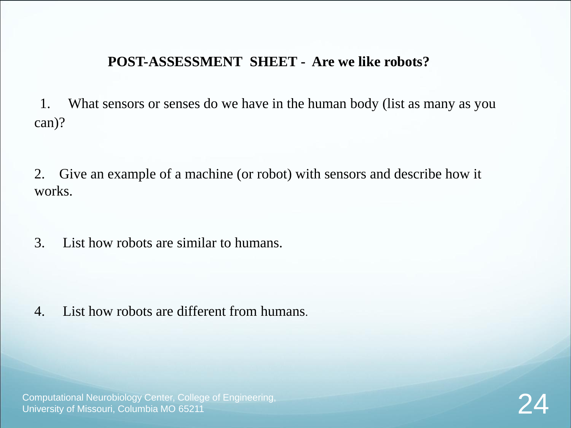#### **POST-ASSESSMENT SHEET - Are we like robots?**

1. What sensors or senses do we have in the human body (list as many as you can)?

2. Give an example of a machine (or robot) with sensors and describe how it works.

3. List how robots are similar to humans.

4. List how robots are different from humans.

Computational Neurobiology Center, College of Engineering, **24**<br>University of Missouri, Columbia MO 65211 24